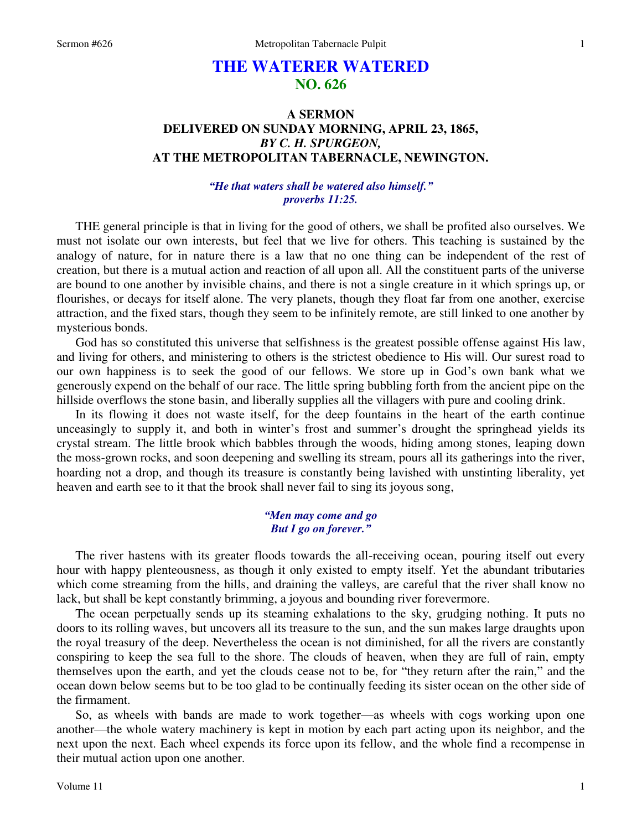# **THE WATERER WATERED NO. 626**

## **A SERMON DELIVERED ON SUNDAY MORNING, APRIL 23, 1865,**  *BY C. H. SPURGEON,*  **AT THE METROPOLITAN TABERNACLE, NEWINGTON.**

## *"He that waters shall be watered also himself." proverbs 11:25.*

THE general principle is that in living for the good of others, we shall be profited also ourselves. We must not isolate our own interests, but feel that we live for others. This teaching is sustained by the analogy of nature, for in nature there is a law that no one thing can be independent of the rest of creation, but there is a mutual action and reaction of all upon all. All the constituent parts of the universe are bound to one another by invisible chains, and there is not a single creature in it which springs up, or flourishes, or decays for itself alone. The very planets, though they float far from one another, exercise attraction, and the fixed stars, though they seem to be infinitely remote, are still linked to one another by mysterious bonds.

 God has so constituted this universe that selfishness is the greatest possible offense against His law, and living for others, and ministering to others is the strictest obedience to His will. Our surest road to our own happiness is to seek the good of our fellows. We store up in God's own bank what we generously expend on the behalf of our race. The little spring bubbling forth from the ancient pipe on the hillside overflows the stone basin, and liberally supplies all the villagers with pure and cooling drink.

 In its flowing it does not waste itself, for the deep fountains in the heart of the earth continue unceasingly to supply it, and both in winter's frost and summer's drought the springhead yields its crystal stream. The little brook which babbles through the woods, hiding among stones, leaping down the moss-grown rocks, and soon deepening and swelling its stream, pours all its gatherings into the river, hoarding not a drop, and though its treasure is constantly being lavished with unstinting liberality, yet heaven and earth see to it that the brook shall never fail to sing its joyous song,

### *"Men may come and go But I go on forever."*

 The river hastens with its greater floods towards the all-receiving ocean, pouring itself out every hour with happy plenteousness, as though it only existed to empty itself. Yet the abundant tributaries which come streaming from the hills, and draining the valleys, are careful that the river shall know no lack, but shall be kept constantly brimming, a joyous and bounding river forevermore.

 The ocean perpetually sends up its steaming exhalations to the sky, grudging nothing. It puts no doors to its rolling waves, but uncovers all its treasure to the sun, and the sun makes large draughts upon the royal treasury of the deep. Nevertheless the ocean is not diminished, for all the rivers are constantly conspiring to keep the sea full to the shore. The clouds of heaven, when they are full of rain, empty themselves upon the earth, and yet the clouds cease not to be, for "they return after the rain," and the ocean down below seems but to be too glad to be continually feeding its sister ocean on the other side of the firmament.

 So, as wheels with bands are made to work together—as wheels with cogs working upon one another—the whole watery machinery is kept in motion by each part acting upon its neighbor, and the next upon the next. Each wheel expends its force upon its fellow, and the whole find a recompense in their mutual action upon one another.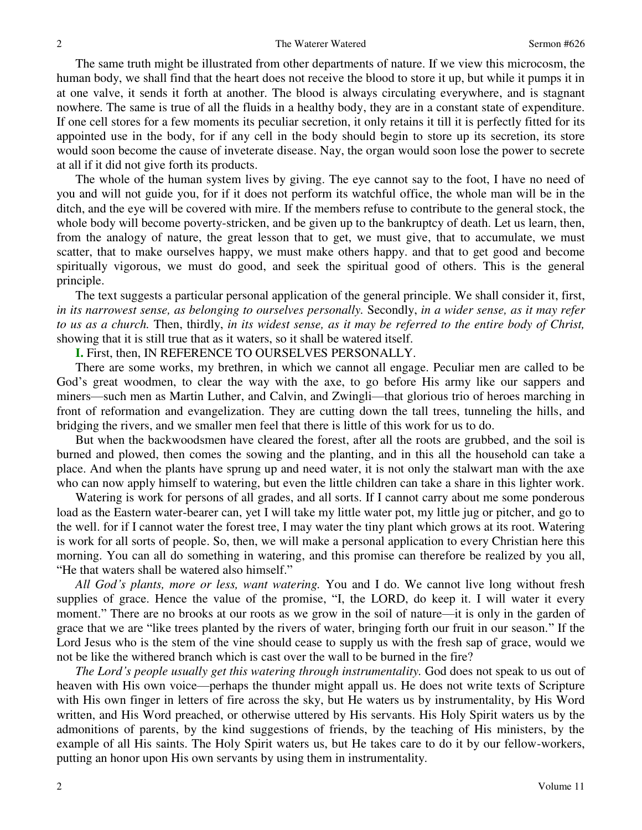The same truth might be illustrated from other departments of nature. If we view this microcosm, the human body, we shall find that the heart does not receive the blood to store it up, but while it pumps it in at one valve, it sends it forth at another. The blood is always circulating everywhere, and is stagnant nowhere. The same is true of all the fluids in a healthy body, they are in a constant state of expenditure. If one cell stores for a few moments its peculiar secretion, it only retains it till it is perfectly fitted for its appointed use in the body, for if any cell in the body should begin to store up its secretion, its store would soon become the cause of inveterate disease. Nay, the organ would soon lose the power to secrete at all if it did not give forth its products.

 The whole of the human system lives by giving. The eye cannot say to the foot, I have no need of you and will not guide you, for if it does not perform its watchful office, the whole man will be in the ditch, and the eye will be covered with mire. If the members refuse to contribute to the general stock, the whole body will become poverty-stricken, and be given up to the bankruptcy of death. Let us learn, then, from the analogy of nature, the great lesson that to get, we must give, that to accumulate, we must scatter, that to make ourselves happy, we must make others happy. and that to get good and become spiritually vigorous, we must do good, and seek the spiritual good of others. This is the general principle.

 The text suggests a particular personal application of the general principle. We shall consider it, first, *in its narrowest sense, as belonging to ourselves personally.* Secondly, *in a wider sense, as it may refer to us as a church.* Then, thirdly, *in its widest sense, as it may be referred to the entire body of Christ,* showing that it is still true that as it waters, so it shall be watered itself.

**I.** First, then, IN REFERENCE TO OURSELVES PERSONALLY.

 There are some works, my brethren, in which we cannot all engage. Peculiar men are called to be God's great woodmen, to clear the way with the axe, to go before His army like our sappers and miners—such men as Martin Luther, and Calvin, and Zwingli—that glorious trio of heroes marching in front of reformation and evangelization. They are cutting down the tall trees, tunneling the hills, and bridging the rivers, and we smaller men feel that there is little of this work for us to do.

 But when the backwoodsmen have cleared the forest, after all the roots are grubbed, and the soil is burned and plowed, then comes the sowing and the planting, and in this all the household can take a place. And when the plants have sprung up and need water, it is not only the stalwart man with the axe who can now apply himself to watering, but even the little children can take a share in this lighter work.

 Watering is work for persons of all grades, and all sorts. If I cannot carry about me some ponderous load as the Eastern water-bearer can, yet I will take my little water pot, my little jug or pitcher, and go to the well. for if I cannot water the forest tree, I may water the tiny plant which grows at its root. Watering is work for all sorts of people. So, then, we will make a personal application to every Christian here this morning. You can all do something in watering, and this promise can therefore be realized by you all, "He that waters shall be watered also himself."

*All God's plants, more or less, want watering.* You and I do. We cannot live long without fresh supplies of grace. Hence the value of the promise, "I, the LORD, do keep it. I will water it every moment." There are no brooks at our roots as we grow in the soil of nature—it is only in the garden of grace that we are "like trees planted by the rivers of water, bringing forth our fruit in our season." If the Lord Jesus who is the stem of the vine should cease to supply us with the fresh sap of grace, would we not be like the withered branch which is cast over the wall to be burned in the fire?

*The Lord*'s people usually get this watering through instrumentality. God does not speak to us out of heaven with His own voice—perhaps the thunder might appall us. He does not write texts of Scripture with His own finger in letters of fire across the sky, but He waters us by instrumentality, by His Word written, and His Word preached, or otherwise uttered by His servants. His Holy Spirit waters us by the admonitions of parents, by the kind suggestions of friends, by the teaching of His ministers, by the example of all His saints. The Holy Spirit waters us, but He takes care to do it by our fellow-workers, putting an honor upon His own servants by using them in instrumentality.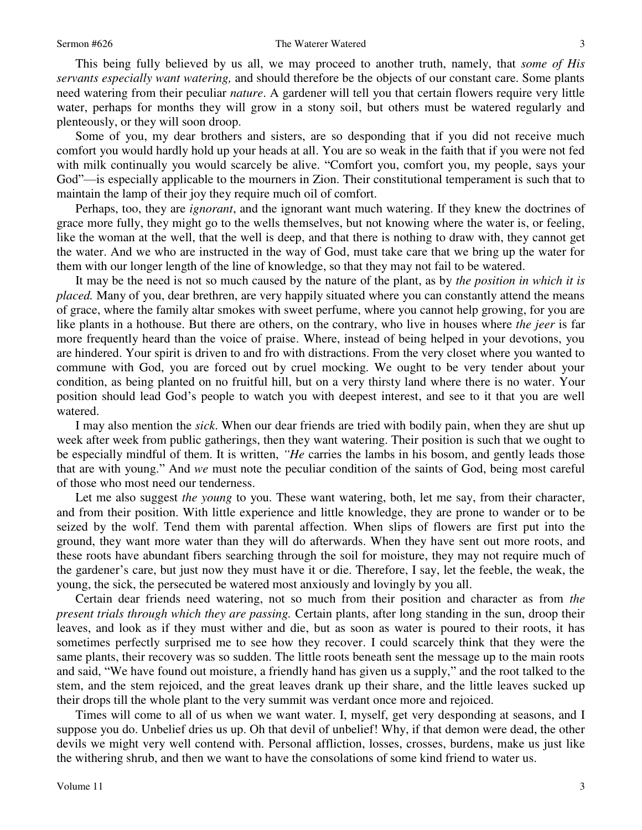#### Sermon #626 The Waterer Watered

 This being fully believed by us all, we may proceed to another truth, namely, that *some of His servants especially want watering,* and should therefore be the objects of our constant care. Some plants need watering from their peculiar *nature*. A gardener will tell you that certain flowers require very little water, perhaps for months they will grow in a stony soil, but others must be watered regularly and plenteously, or they will soon droop.

 Some of you, my dear brothers and sisters, are so desponding that if you did not receive much comfort you would hardly hold up your heads at all. You are so weak in the faith that if you were not fed with milk continually you would scarcely be alive. "Comfort you, comfort you, my people, says your God"—is especially applicable to the mourners in Zion. Their constitutional temperament is such that to maintain the lamp of their joy they require much oil of comfort.

Perhaps, too, they are *ignorant*, and the ignorant want much watering. If they knew the doctrines of grace more fully, they might go to the wells themselves, but not knowing where the water is, or feeling, like the woman at the well, that the well is deep, and that there is nothing to draw with, they cannot get the water. And we who are instructed in the way of God, must take care that we bring up the water for them with our longer length of the line of knowledge, so that they may not fail to be watered.

 It may be the need is not so much caused by the nature of the plant, as by *the position in which it is placed.* Many of you, dear brethren, are very happily situated where you can constantly attend the means of grace, where the family altar smokes with sweet perfume, where you cannot help growing, for you are like plants in a hothouse. But there are others, on the contrary, who live in houses where *the jeer* is far more frequently heard than the voice of praise. Where, instead of being helped in your devotions, you are hindered. Your spirit is driven to and fro with distractions. From the very closet where you wanted to commune with God, you are forced out by cruel mocking. We ought to be very tender about your condition, as being planted on no fruitful hill, but on a very thirsty land where there is no water. Your position should lead God's people to watch you with deepest interest, and see to it that you are well watered.

 I may also mention the *sick*. When our dear friends are tried with bodily pain, when they are shut up week after week from public gatherings, then they want watering. Their position is such that we ought to be especially mindful of them. It is written, *"He* carries the lambs in his bosom, and gently leads those that are with young." And *we* must note the peculiar condition of the saints of God, being most careful of those who most need our tenderness.

Let me also suggest *the young* to you. These want watering, both, let me say, from their character, and from their position. With little experience and little knowledge, they are prone to wander or to be seized by the wolf. Tend them with parental affection. When slips of flowers are first put into the ground, they want more water than they will do afterwards. When they have sent out more roots, and these roots have abundant fibers searching through the soil for moisture, they may not require much of the gardener's care, but just now they must have it or die. Therefore, I say, let the feeble, the weak, the young, the sick, the persecuted be watered most anxiously and lovingly by you all.

 Certain dear friends need watering, not so much from their position and character as from *the present trials through which they are passing.* Certain plants, after long standing in the sun, droop their leaves, and look as if they must wither and die, but as soon as water is poured to their roots, it has sometimes perfectly surprised me to see how they recover. I could scarcely think that they were the same plants, their recovery was so sudden. The little roots beneath sent the message up to the main roots and said, "We have found out moisture, a friendly hand has given us a supply," and the root talked to the stem, and the stem rejoiced, and the great leaves drank up their share, and the little leaves sucked up their drops till the whole plant to the very summit was verdant once more and rejoiced.

 Times will come to all of us when we want water. I, myself, get very desponding at seasons, and I suppose you do. Unbelief dries us up. Oh that devil of unbelief! Why, if that demon were dead, the other devils we might very well contend with. Personal affliction, losses, crosses, burdens, make us just like the withering shrub, and then we want to have the consolations of some kind friend to water us.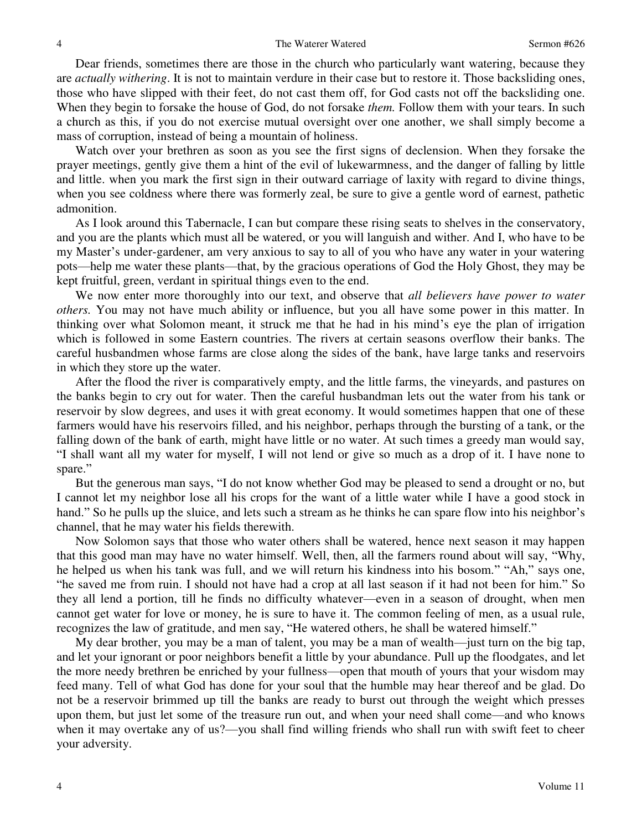Dear friends, sometimes there are those in the church who particularly want watering, because they are *actually withering*. It is not to maintain verdure in their case but to restore it. Those backsliding ones, those who have slipped with their feet, do not cast them off, for God casts not off the backsliding one. When they begin to forsake the house of God, do not forsake *them.* Follow them with your tears. In such a church as this, if you do not exercise mutual oversight over one another, we shall simply become a mass of corruption, instead of being a mountain of holiness.

 Watch over your brethren as soon as you see the first signs of declension. When they forsake the prayer meetings, gently give them a hint of the evil of lukewarmness, and the danger of falling by little and little. when you mark the first sign in their outward carriage of laxity with regard to divine things, when you see coldness where there was formerly zeal, be sure to give a gentle word of earnest, pathetic admonition.

 As I look around this Tabernacle, I can but compare these rising seats to shelves in the conservatory, and you are the plants which must all be watered, or you will languish and wither. And I, who have to be my Master's under-gardener, am very anxious to say to all of you who have any water in your watering pots—help me water these plants—that, by the gracious operations of God the Holy Ghost, they may be kept fruitful, green, verdant in spiritual things even to the end.

 We now enter more thoroughly into our text, and observe that *all believers have power to water others.* You may not have much ability or influence, but you all have some power in this matter. In thinking over what Solomon meant, it struck me that he had in his mind's eye the plan of irrigation which is followed in some Eastern countries. The rivers at certain seasons overflow their banks. The careful husbandmen whose farms are close along the sides of the bank, have large tanks and reservoirs in which they store up the water.

 After the flood the river is comparatively empty, and the little farms, the vineyards, and pastures on the banks begin to cry out for water. Then the careful husbandman lets out the water from his tank or reservoir by slow degrees, and uses it with great economy. It would sometimes happen that one of these farmers would have his reservoirs filled, and his neighbor, perhaps through the bursting of a tank, or the falling down of the bank of earth, might have little or no water. At such times a greedy man would say, "I shall want all my water for myself, I will not lend or give so much as a drop of it. I have none to spare."

 But the generous man says, "I do not know whether God may be pleased to send a drought or no, but I cannot let my neighbor lose all his crops for the want of a little water while I have a good stock in hand." So he pulls up the sluice, and lets such a stream as he thinks he can spare flow into his neighbor's channel, that he may water his fields therewith.

 Now Solomon says that those who water others shall be watered, hence next season it may happen that this good man may have no water himself. Well, then, all the farmers round about will say, "Why, he helped us when his tank was full, and we will return his kindness into his bosom." "Ah," says one, "he saved me from ruin. I should not have had a crop at all last season if it had not been for him." So they all lend a portion, till he finds no difficulty whatever—even in a season of drought, when men cannot get water for love or money, he is sure to have it. The common feeling of men, as a usual rule, recognizes the law of gratitude, and men say, "He watered others, he shall be watered himself."

 My dear brother, you may be a man of talent, you may be a man of wealth—just turn on the big tap, and let your ignorant or poor neighbors benefit a little by your abundance. Pull up the floodgates, and let the more needy brethren be enriched by your fullness—open that mouth of yours that your wisdom may feed many. Tell of what God has done for your soul that the humble may hear thereof and be glad. Do not be a reservoir brimmed up till the banks are ready to burst out through the weight which presses upon them, but just let some of the treasure run out, and when your need shall come—and who knows when it may overtake any of us?—you shall find willing friends who shall run with swift feet to cheer your adversity.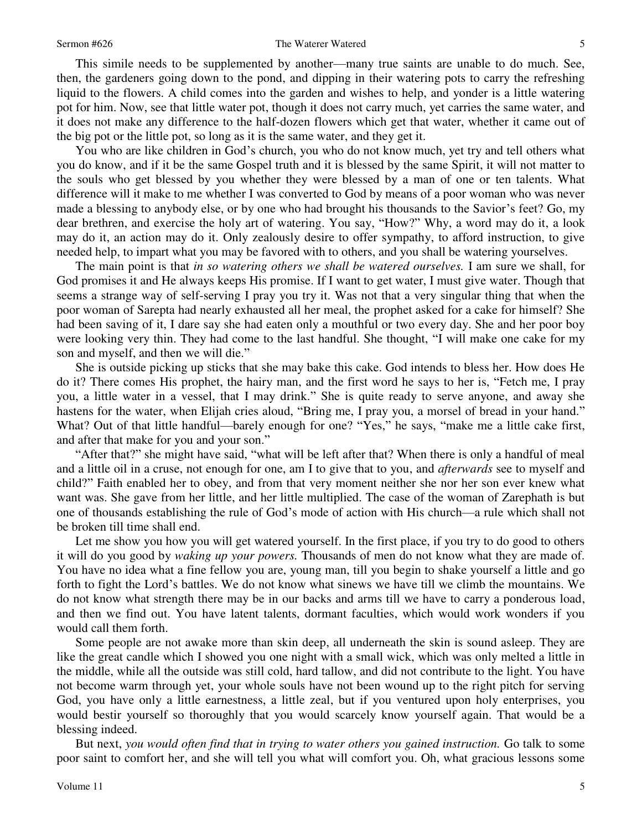#### Sermon #626 The Waterer Watered

 This simile needs to be supplemented by another—many true saints are unable to do much. See, then, the gardeners going down to the pond, and dipping in their watering pots to carry the refreshing liquid to the flowers. A child comes into the garden and wishes to help, and yonder is a little watering pot for him. Now, see that little water pot, though it does not carry much, yet carries the same water, and it does not make any difference to the half-dozen flowers which get that water, whether it came out of the big pot or the little pot, so long as it is the same water, and they get it.

 You who are like children in God's church, you who do not know much, yet try and tell others what you do know, and if it be the same Gospel truth and it is blessed by the same Spirit, it will not matter to the souls who get blessed by you whether they were blessed by a man of one or ten talents. What difference will it make to me whether I was converted to God by means of a poor woman who was never made a blessing to anybody else, or by one who had brought his thousands to the Savior's feet? Go, my dear brethren, and exercise the holy art of watering. You say, "How?" Why, a word may do it, a look may do it, an action may do it. Only zealously desire to offer sympathy, to afford instruction, to give needed help, to impart what you may be favored with to others, and you shall be watering yourselves.

 The main point is that *in so watering others we shall be watered ourselves.* I am sure we shall, for God promises it and He always keeps His promise. If I want to get water, I must give water. Though that seems a strange way of self-serving I pray you try it. Was not that a very singular thing that when the poor woman of Sarepta had nearly exhausted all her meal, the prophet asked for a cake for himself? She had been saving of it, I dare say she had eaten only a mouthful or two every day. She and her poor boy were looking very thin. They had come to the last handful. She thought, "I will make one cake for my son and myself, and then we will die."

 She is outside picking up sticks that she may bake this cake. God intends to bless her. How does He do it? There comes His prophet, the hairy man, and the first word he says to her is, "Fetch me, I pray you, a little water in a vessel, that I may drink." She is quite ready to serve anyone, and away she hastens for the water, when Elijah cries aloud, "Bring me, I pray you, a morsel of bread in your hand." What? Out of that little handful—barely enough for one? "Yes," he says, "make me a little cake first, and after that make for you and your son."

"After that?" she might have said, "what will be left after that? When there is only a handful of meal and a little oil in a cruse, not enough for one, am I to give that to you, and *afterwards* see to myself and child?" Faith enabled her to obey, and from that very moment neither she nor her son ever knew what want was. She gave from her little, and her little multiplied. The case of the woman of Zarephath is but one of thousands establishing the rule of God's mode of action with His church—a rule which shall not be broken till time shall end.

 Let me show you how you will get watered yourself. In the first place, if you try to do good to others it will do you good by *waking up your powers.* Thousands of men do not know what they are made of. You have no idea what a fine fellow you are, young man, till you begin to shake yourself a little and go forth to fight the Lord's battles. We do not know what sinews we have till we climb the mountains. We do not know what strength there may be in our backs and arms till we have to carry a ponderous load, and then we find out. You have latent talents, dormant faculties, which would work wonders if you would call them forth.

 Some people are not awake more than skin deep, all underneath the skin is sound asleep. They are like the great candle which I showed you one night with a small wick, which was only melted a little in the middle, while all the outside was still cold, hard tallow, and did not contribute to the light. You have not become warm through yet, your whole souls have not been wound up to the right pitch for serving God, you have only a little earnestness, a little zeal, but if you ventured upon holy enterprises, you would bestir yourself so thoroughly that you would scarcely know yourself again. That would be a blessing indeed.

 But next, *you would often find that in trying to water others you gained instruction.* Go talk to some poor saint to comfort her, and she will tell you what will comfort you. Oh, what gracious lessons some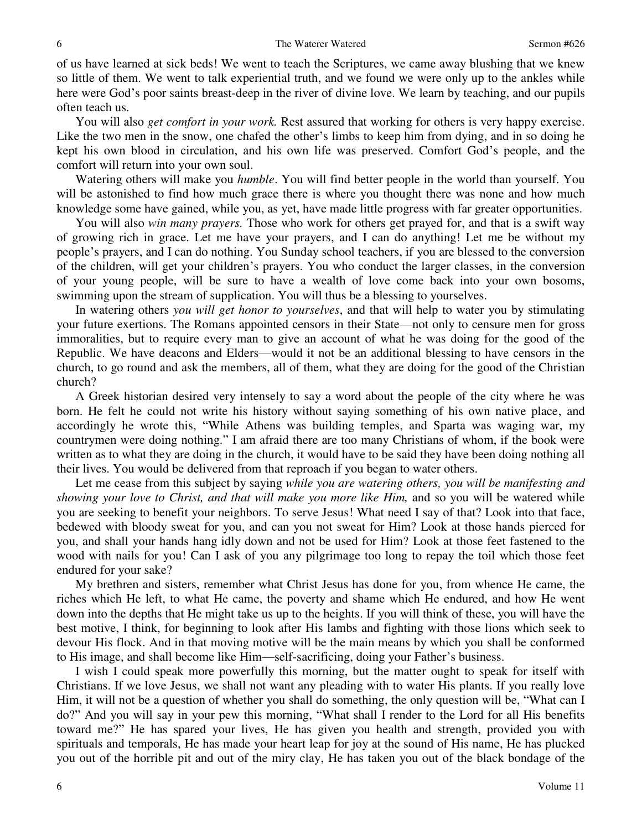of us have learned at sick beds! We went to teach the Scriptures, we came away blushing that we knew so little of them. We went to talk experiential truth, and we found we were only up to the ankles while here were God's poor saints breast-deep in the river of divine love. We learn by teaching, and our pupils often teach us.

 You will also *get comfort in your work.* Rest assured that working for others is very happy exercise. Like the two men in the snow, one chafed the other's limbs to keep him from dying, and in so doing he kept his own blood in circulation, and his own life was preserved. Comfort God's people, and the comfort will return into your own soul.

 Watering others will make you *humble*. You will find better people in the world than yourself. You will be astonished to find how much grace there is where you thought there was none and how much knowledge some have gained, while you, as yet, have made little progress with far greater opportunities.

 You will also *win many prayers.* Those who work for others get prayed for, and that is a swift way of growing rich in grace. Let me have your prayers, and I can do anything! Let me be without my people's prayers, and I can do nothing. You Sunday school teachers, if you are blessed to the conversion of the children, will get your children's prayers. You who conduct the larger classes, in the conversion of your young people, will be sure to have a wealth of love come back into your own bosoms, swimming upon the stream of supplication. You will thus be a blessing to yourselves.

 In watering others *you will get honor to yourselves*, and that will help to water you by stimulating your future exertions. The Romans appointed censors in their State—not only to censure men for gross immoralities, but to require every man to give an account of what he was doing for the good of the Republic. We have deacons and Elders—would it not be an additional blessing to have censors in the church, to go round and ask the members, all of them, what they are doing for the good of the Christian church?

 A Greek historian desired very intensely to say a word about the people of the city where he was born. He felt he could not write his history without saying something of his own native place, and accordingly he wrote this, "While Athens was building temples, and Sparta was waging war, my countrymen were doing nothing." I am afraid there are too many Christians of whom, if the book were written as to what they are doing in the church, it would have to be said they have been doing nothing all their lives. You would be delivered from that reproach if you began to water others.

 Let me cease from this subject by saying *while you are watering others, you will be manifesting and showing your love to Christ, and that will make you more like Him,* and so you will be watered while you are seeking to benefit your neighbors. To serve Jesus! What need I say of that? Look into that face, bedewed with bloody sweat for you, and can you not sweat for Him? Look at those hands pierced for you, and shall your hands hang idly down and not be used for Him? Look at those feet fastened to the wood with nails for you! Can I ask of you any pilgrimage too long to repay the toil which those feet endured for your sake?

 My brethren and sisters, remember what Christ Jesus has done for you, from whence He came, the riches which He left, to what He came, the poverty and shame which He endured, and how He went down into the depths that He might take us up to the heights. If you will think of these, you will have the best motive, I think, for beginning to look after His lambs and fighting with those lions which seek to devour His flock. And in that moving motive will be the main means by which you shall be conformed to His image, and shall become like Him—self-sacrificing, doing your Father's business.

 I wish I could speak more powerfully this morning, but the matter ought to speak for itself with Christians. If we love Jesus, we shall not want any pleading with to water His plants. If you really love Him, it will not be a question of whether you shall do something, the only question will be, "What can I do?" And you will say in your pew this morning, "What shall I render to the Lord for all His benefits toward me?" He has spared your lives, He has given you health and strength, provided you with spirituals and temporals, He has made your heart leap for joy at the sound of His name, He has plucked you out of the horrible pit and out of the miry clay, He has taken you out of the black bondage of the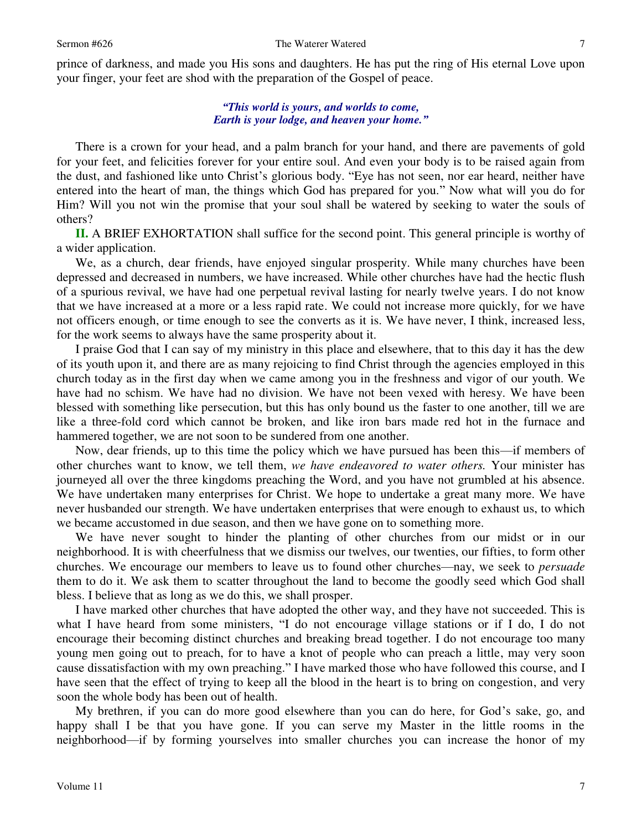prince of darkness, and made you His sons and daughters. He has put the ring of His eternal Love upon your finger, your feet are shod with the preparation of the Gospel of peace.

## *"This world is yours, and worlds to come, Earth is your lodge, and heaven your home."*

There is a crown for your head, and a palm branch for your hand, and there are pavements of gold for your feet, and felicities forever for your entire soul. And even your body is to be raised again from the dust, and fashioned like unto Christ's glorious body. "Eye has not seen, nor ear heard, neither have entered into the heart of man, the things which God has prepared for you." Now what will you do for Him? Will you not win the promise that your soul shall be watered by seeking to water the souls of others?

**II.** A BRIEF EXHORTATION shall suffice for the second point. This general principle is worthy of a wider application.

 We, as a church, dear friends, have enjoyed singular prosperity. While many churches have been depressed and decreased in numbers, we have increased. While other churches have had the hectic flush of a spurious revival, we have had one perpetual revival lasting for nearly twelve years. I do not know that we have increased at a more or a less rapid rate. We could not increase more quickly, for we have not officers enough, or time enough to see the converts as it is. We have never, I think, increased less, for the work seems to always have the same prosperity about it.

 I praise God that I can say of my ministry in this place and elsewhere, that to this day it has the dew of its youth upon it, and there are as many rejoicing to find Christ through the agencies employed in this church today as in the first day when we came among you in the freshness and vigor of our youth. We have had no schism. We have had no division. We have not been vexed with heresy. We have been blessed with something like persecution, but this has only bound us the faster to one another, till we are like a three-fold cord which cannot be broken, and like iron bars made red hot in the furnace and hammered together, we are not soon to be sundered from one another.

 Now, dear friends, up to this time the policy which we have pursued has been this—if members of other churches want to know, we tell them, *we have endeavored to water others.* Your minister has journeyed all over the three kingdoms preaching the Word, and you have not grumbled at his absence. We have undertaken many enterprises for Christ. We hope to undertake a great many more. We have never husbanded our strength. We have undertaken enterprises that were enough to exhaust us, to which we became accustomed in due season, and then we have gone on to something more.

 We have never sought to hinder the planting of other churches from our midst or in our neighborhood. It is with cheerfulness that we dismiss our twelves, our twenties, our fifties, to form other churches. We encourage our members to leave us to found other churches—nay, we seek to *persuade* them to do it. We ask them to scatter throughout the land to become the goodly seed which God shall bless. I believe that as long as we do this, we shall prosper.

 I have marked other churches that have adopted the other way, and they have not succeeded. This is what I have heard from some ministers, "I do not encourage village stations or if I do, I do not encourage their becoming distinct churches and breaking bread together. I do not encourage too many young men going out to preach, for to have a knot of people who can preach a little, may very soon cause dissatisfaction with my own preaching." I have marked those who have followed this course, and I have seen that the effect of trying to keep all the blood in the heart is to bring on congestion, and very soon the whole body has been out of health.

 My brethren, if you can do more good elsewhere than you can do here, for God's sake, go, and happy shall I be that you have gone. If you can serve my Master in the little rooms in the neighborhood—if by forming yourselves into smaller churches you can increase the honor of my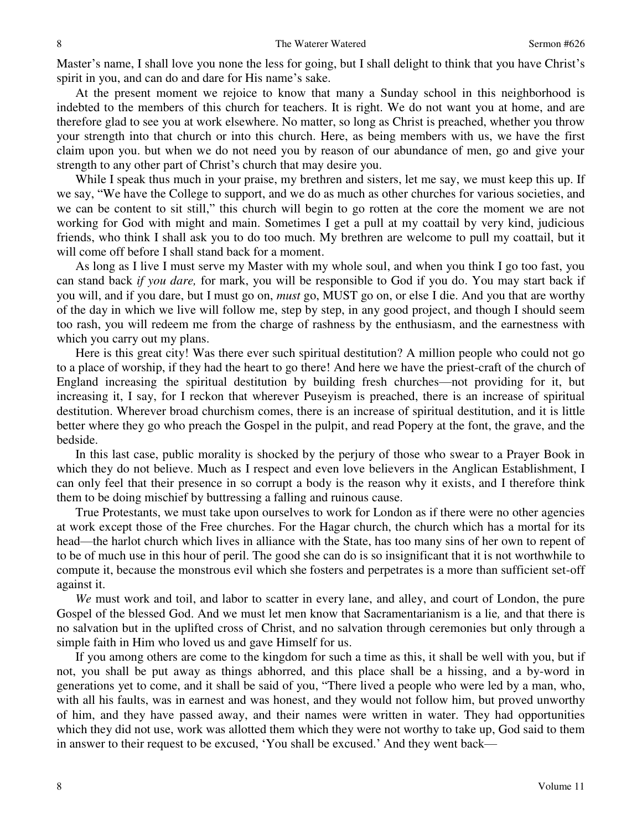Master's name, I shall love you none the less for going, but I shall delight to think that you have Christ's spirit in you, and can do and dare for His name's sake.

 At the present moment we rejoice to know that many a Sunday school in this neighborhood is indebted to the members of this church for teachers. It is right. We do not want you at home, and are therefore glad to see you at work elsewhere. No matter, so long as Christ is preached, whether you throw your strength into that church or into this church. Here, as being members with us, we have the first claim upon you. but when we do not need you by reason of our abundance of men, go and give your strength to any other part of Christ's church that may desire you.

While I speak thus much in your praise, my brethren and sisters, let me say, we must keep this up. If we say, "We have the College to support, and we do as much as other churches for various societies, and we can be content to sit still," this church will begin to go rotten at the core the moment we are not working for God with might and main. Sometimes I get a pull at my coattail by very kind, judicious friends, who think I shall ask you to do too much. My brethren are welcome to pull my coattail, but it will come off before I shall stand back for a moment.

 As long as I live I must serve my Master with my whole soul, and when you think I go too fast, you can stand back *if you dare,* for mark, you will be responsible to God if you do. You may start back if you will, and if you dare, but I must go on, *must* go, MUST go on, or else I die. And you that are worthy of the day in which we live will follow me, step by step, in any good project, and though I should seem too rash, you will redeem me from the charge of rashness by the enthusiasm, and the earnestness with which you carry out my plans.

 Here is this great city! Was there ever such spiritual destitution? A million people who could not go to a place of worship, if they had the heart to go there! And here we have the priest-craft of the church of England increasing the spiritual destitution by building fresh churches—not providing for it, but increasing it, I say, for I reckon that wherever Puseyism is preached, there is an increase of spiritual destitution. Wherever broad churchism comes, there is an increase of spiritual destitution, and it is little better where they go who preach the Gospel in the pulpit, and read Popery at the font, the grave, and the bedside.

 In this last case, public morality is shocked by the perjury of those who swear to a Prayer Book in which they do not believe. Much as I respect and even love believers in the Anglican Establishment, I can only feel that their presence in so corrupt a body is the reason why it exists, and I therefore think them to be doing mischief by buttressing a falling and ruinous cause.

 True Protestants, we must take upon ourselves to work for London as if there were no other agencies at work except those of the Free churches. For the Hagar church, the church which has a mortal for its head—the harlot church which lives in alliance with the State, has too many sins of her own to repent of to be of much use in this hour of peril. The good she can do is so insignificant that it is not worthwhile to compute it, because the monstrous evil which she fosters and perpetrates is a more than sufficient set-off against it.

*We* must work and toil, and labor to scatter in every lane, and alley, and court of London, the pure Gospel of the blessed God. And we must let men know that Sacramentarianism is a lie*,* and that there is no salvation but in the uplifted cross of Christ, and no salvation through ceremonies but only through a simple faith in Him who loved us and gave Himself for us.

 If you among others are come to the kingdom for such a time as this, it shall be well with you, but if not, you shall be put away as things abhorred, and this place shall be a hissing, and a by-word in generations yet to come, and it shall be said of you, "There lived a people who were led by a man, who, with all his faults, was in earnest and was honest, and they would not follow him, but proved unworthy of him, and they have passed away, and their names were written in water. They had opportunities which they did not use, work was allotted them which they were not worthy to take up, God said to them in answer to their request to be excused, 'You shall be excused.' And they went back—